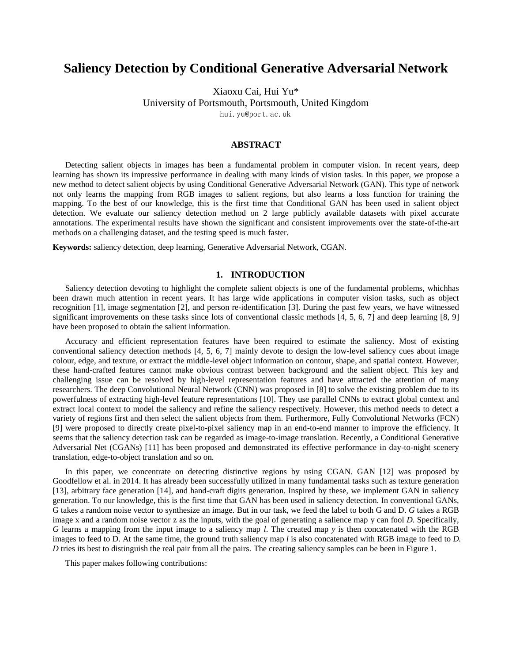# **Saliency Detection by Conditional Generative Adversarial Network**

Xiaoxu Cai, Hui Yu\*

University of Portsmouth, Portsmouth, United Kingdom

hui.yu@port.ac.uk

# **ABSTRACT**

Detecting salient objects in images has been a fundamental problem in computer vision. In recent years, deep learning has shown its impressive performance in dealing with many kinds of vision tasks. In this paper, we propose a new method to detect salient objects by using Conditional Generative Adversarial Network (GAN). This type of network not only learns the mapping from RGB images to salient regions, but also learns a loss function for training the mapping. To the best of our knowledge, this is the first time that Conditional GAN has been used in salient object detection. We evaluate our saliency detection method on 2 large publicly available datasets with pixel accurate annotations. The experimental results have shown the significant and consistent improvements over the state-of-the-art methods on a challenging dataset, and the testing speed is much faster.

**Keywords:** saliency detection, deep learning, Generative Adversarial Network, CGAN.

## **1. INTRODUCTION**

Saliency detection devoting to highlight the complete salient objects is one of the fundamental problems, whichhas been drawn much attention in recent years. It has large wide applications in computer vision tasks, such as object recognition [1], image segmentation [2], and person re-identification [3]. During the past few years, we have witnessed significant improvements on these tasks since lots of conventional classic methods [4, 5, 6, 7] and deep learning [8, 9] have been proposed to obtain the salient information.

Accuracy and efficient representation features have been required to estimate the saliency. Most of existing conventional saliency detection methods [4, 5, 6, 7] mainly devote to design the low-level saliency cues about image colour, edge, and texture, or extract the middle-level object information on contour, shape, and spatial context. However, these hand-crafted features cannot make obvious contrast between background and the salient object. This key and challenging issue can be resolved by high-level representation features and have attracted the attention of many researchers. The deep Convolutional Neural Network (CNN) was proposed in [8] to solve the existing problem due to its powerfulness of extracting high-level feature representations [10]. They use parallel CNNs to extract global context and extract local context to model the saliency and refine the saliency respectively. However, this method needs to detect a variety of regions first and then select the salient objects from them. Furthermore, Fully Convolutional Networks (FCN) [9] were proposed to directly create pixel-to-pixel saliency map in an end-to-end manner to improve the efficiency. It seems that the saliency detection task can be regarded as image-to-image translation. Recently, a Conditional Generative Adversarial Net (CGANs) [11] has been proposed and demonstrated its effective performance in day-to-night scenery translation, edge-to-object translation and so on.

In this paper, we concentrate on detecting distinctive regions by using CGAN. GAN [12] was proposed by Goodfellow et al. in 2014. It has already been successfully utilized in many fundamental tasks such as texture generation [13], arbitrary face generation [14], and hand-craft digits generation. Inspired by these, we implement GAN in saliency generation. To our knowledge, this is the first time that GAN has been used in saliency detection. In conventional GANs, G takes a random noise vector to synthesize an image. But in our task, we feed the label to both G and D. *G* takes a RGB image x and a random noise vector z as the inputs, with the goal of generating a salience map y can fool *D*. Specifically, *G* learns a mapping from the input image to a saliency map *l*. The created map *y* is then concatenated with the RGB images to feed to D. At the same time, the ground truth saliency map *l* is also concatenated with RGB image to feed to *D. D* tries its best to distinguish the real pair from all the pairs. The creating saliency samples can be been in Figure 1.

This paper makes following contributions: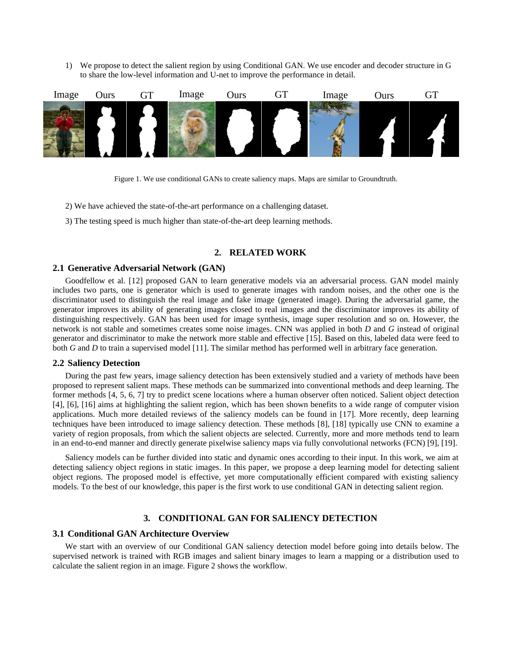1) We propose to detect the salient region by using Conditional GAN. We use encoder and decoder structure in G to share the low-level information and U-net to improve the performance in detail.





- 2) We have achieved the state-of-the-art performance on a challenging dataset.
- 3) The testing speed is much higher than state-of-the-art deep learning methods.

# **2. RELATED WORK**

## **2.1 Generative Adversarial Network (GAN)**

Goodfellow et al. [12] proposed GAN to learn generative models via an adversarial process. GAN model mainly includes two parts, one is generator which is used to generate images with random noises, and the other one is the discriminator used to distinguish the real image and fake image (generated image). During the adversarial game, the generator improves its ability of generating images closed to real images and the discriminator improves its ability of distinguishing respectively. GAN has been used for image synthesis, image super resolution and so on. However, the network is not stable and sometimes creates some noise images. CNN was applied in both *D* and *G* instead of original generator and discriminator to make the network more stable and effective [15]. Based on this, labeled data were feed to both *G* and *D* to train a supervised model [11]. The similar method has performed well in arbitrary face generation.

### **2.2 Saliency Detection**

During the past few years, image saliency detection has been extensively studied and a variety of methods have been proposed to represent salient maps. These methods can be summarized into conventional methods and deep learning. The former methods [4, 5, 6, 7] try to predict scene locations where a human observer often noticed. Salient object detection [4], [6], [16] aims at highlighting the salient region, which has been shown benefits to a wide range of computer vision applications. Much more detailed reviews of the saliency models can be found in [17]. More recently, deep learning techniques have been introduced to image saliency detection. These methods [8], [18] typically use CNN to examine a variety of region proposals, from which the salient objects are selected. Currently, more and more methods tend to learn in an end-to-end manner and directly generate pixelwise saliency maps via fully convolutional networks (FCN) [9], [19].

Saliency models can be further divided into static and dynamic ones according to their input. In this work, we aim at detecting saliency object regions in static images. In this paper, we propose a deep learning model for detecting salient object regions. The proposed model is effective, yet more computationally efficient compared with existing saliency models. To the best of our knowledge, this paper is the first work to use conditional GAN in detecting salient region.

# **3. CONDITIONAL GAN FOR SALIENCY DETECTION**

# **3.1 Conditional GAN Architecture Overview**

We start with an overview of our Conditional GAN saliency detection model before going into details below. The supervised network is trained with RGB images and salient binary images to learn a mapping or a distribution used to calculate the salient region in an image. Figure 2 shows the workflow.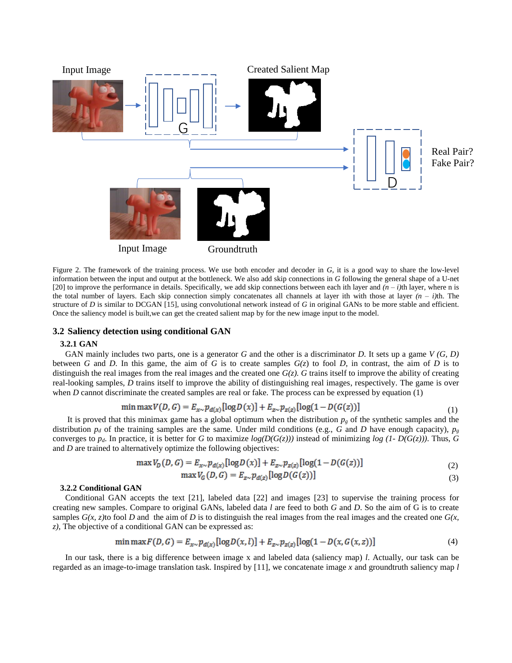

Figure 2. The framework of the training process. We use both encoder and decoder in *G*, it is a good way to share the low-level information between the input and output at the bottleneck. We also add skip connections in *G* following the general shape of a U-net [20] to improve the performance in details. Specifically, we add skip connections between each ith layer and  $(n - i)$ th layer, where n is the total number of layers. Each skip connection simply concatenates all channels at layer ith with those at layer *(n – i)*th. The structure of *D* is similar to DCGAN [15], using convolutional network instead of *G* in original GANs to be more stable and efficient. Once the saliency model is built,we can get the created salient map by for the new image input to the model.

# **3.2 Saliency detection using conditional GAN**

#### **3.2.1 GAN**

GAN mainly includes two parts, one is a generator *G* and the other is a discriminator *D*. It sets up a game *V (G, D)* between *G* and *D*. In this game, the aim of *G* is to create samples  $G(z)$  to fool *D*, in contrast, the aim of *D* is to distinguish the real images from the real images and the created one  $G(z)$ . *G* trains itself to improve the ability of creating real-looking samples, *D* trains itself to improve the ability of distinguishing real images, respectively. The game is over when *D* cannot discriminate the created samples are real or fake. The process can be expressed by equation (1)

$$
\min \max V(D, G) = E_{x \sim} p_{d(x)} [\log D(x)] + E_{z \sim} p_{z(z)} [\log(1 - D(G(z)))] \tag{1}
$$

It is proved that this minimax game has a global optimum when the distribution  $p_g$  of the synthetic samples and the distribution  $p_d$  of the training samples are the same. Under mild conditions (e.g., *G* and *D* have enough capacity),  $p_g$ converges to  $p_d$ . In practice, it is better for *G* to maximize  $log(D(G(z)))$  instead of minimizing  $log(1-D(G(z)))$ . Thus, *G* and *D* are trained to alternatively optimize the following objectives:

$$
\max V_D(D, G) = E_{x \sim p_{d(x)}} [\log D(x)] + E_{z \sim p_{z(z)}} [\log (1 - D(G(z)))] \tag{2}
$$

$$
\max V_G(D, G) = E_{z \sim p_{d(z)}}[\log D(G(z))]
$$
\n(3)

#### **3.2.2 Conditional GAN**

Conditional GAN accepts the text [21], labeled data [22] and images [23] to supervise the training process for creating new samples. Compare to original GANs, labeled data *l* are feed to both *G* and *D*. So the aim of G is to create samples  $G(x, z)$  to fool *D* and the aim of *D* is to distinguish the real images from the real images and the created one  $G(x, z)$ *z)*, The objective of a conditional GAN can be expressed as:

$$
\min \max F(D, G) = E_{x \sim} p_{d(x)} [\log D(x, l)] + E_{z \sim} p_{z(z)} [\log (1 - D(x, G(x, z))]
$$
(4)

In our task, there is a big difference between image x and labeled data (saliency map) *l*. Actually, our task can be regarded as an image-to-image translation task. Inspired by [11], we concatenate image *x* and groundtruth saliency map *l*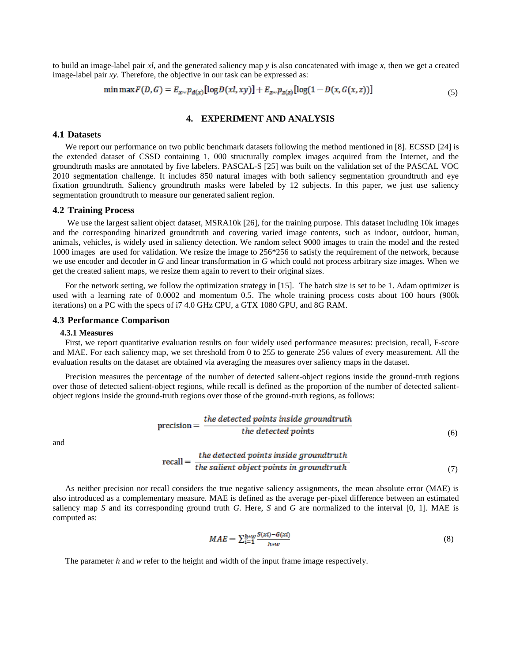to build an image-label pair *xl*, and the generated saliency map *y* is also concatenated with image *x*, then we get a created image-label pair *xy*. Therefore, the objective in our task can be expressed as:

$$
\min \max F(D, G) = E_{x \sim} p_{d(x)} [\log D(xl, xy)] + E_{z \sim} p_{z(z)} [\log (1 - D(x, G(x, z))]
$$
\n(5)

## **4. EXPERIMENT AND ANALYSIS**

#### **4.1 Datasets**

We report our performance on two public benchmark datasets following the method mentioned in [8]. ECSSD [24] is the extended dataset of CSSD containing 1, 000 structurally complex images acquired from the Internet, and the groundtruth masks are annotated by five labelers. PASCAL-S [25] was built on the validation set of the PASCAL VOC 2010 segmentation challenge. It includes 850 natural images with both saliency segmentation groundtruth and eye fixation groundtruth. Saliency groundtruth masks were labeled by 12 subjects. In this paper, we just use saliency segmentation groundtruth to measure our generated salient region.

#### **4.2 Training Process**

We use the largest salient object dataset, MSRA10k [26], for the training purpose. This dataset including 10k images and the corresponding binarized groundtruth and covering varied image contents, such as indoor, outdoor, human, animals, vehicles, is widely used in saliency detection. We random select 9000 images to train the model and the rested 1000 images are used for validation. We resize the image to 256\*256 to satisfy the requirement of the network, because we use encoder and decoder in *G* and linear transformation in *G* which could not process arbitrary size images. When we get the created salient maps, we resize them again to revert to their original sizes.

For the network setting, we follow the optimization strategy in [15]. The batch size is set to be 1. Adam optimizer is used with a learning rate of 0.0002 and momentum 0.5. The whole training process costs about 100 hours (900k iterations) on a PC with the specs of i7 4.0 GHz CPU, a GTX 1080 GPU, and 8G RAM.

#### **4.3 Performance Comparison**

#### **4.3.1 Measures**

First, we report quantitative evaluation results on four widely used performance measures: precision, recall, F-score and MAE. For each saliency map, we set threshold from 0 to 255 to generate 256 values of every measurement. All the evaluation results on the dataset are obtained via averaging the measures over saliency maps in the dataset.

Precision measures the percentage of the number of detected salient-object regions inside the ground-truth regions over those of detected salient-object regions, while recall is defined as the proportion of the number of detected salientobject regions inside the ground-truth regions over those of the ground-truth regions, as follows:

$$
precision = \frac{the \, detected \, points \, inside \, groundtruth}{the \, detected \, points} \tag{6}
$$

and

$$
recall = \frac{the \, detected \, points \, inside \, ground truth}{the \, salient \, objects \, points \, in \, ground truth} \tag{7}
$$

As neither precision nor recall considers the true negative saliency assignments, the mean absolute error (MAE) is also introduced as a complementary measure. MAE is defined as the average per-pixel difference between an estimated saliency map *S* and its corresponding ground truth *G*. Here, *S* and *G* are normalized to the interval [0, 1]. MAE is computed as:

$$
MAE = \sum_{i=1}^{h \times W} \frac{S(xi) - G(xi)}{h \times W} \tag{8}
$$

The parameter *h* and *w* refer to the height and width of the input frame image respectively.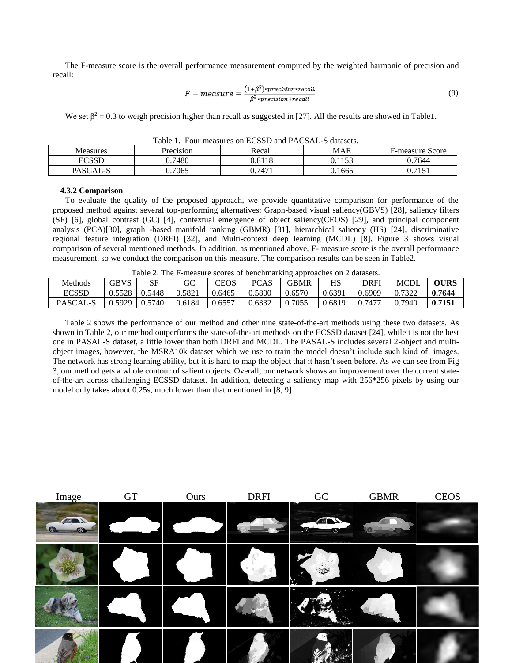The F-measure score is the overall performance measurement computed by the weighted harmonic of precision and recall:

$$
F-measure = \frac{(1+\beta^2) \cdot precision \cdot recall}{\beta^2 \cdot precision + recall}
$$
\n(9)

We set  $\beta^2 = 0.3$  to weigh precision higher than recall as suggested in [27]. All the results are showed in Table1.

| Table 1. Tuul measures on ECSSD and FACSAL-S datasets. |           |        |        |                        |  |  |  |  |  |
|--------------------------------------------------------|-----------|--------|--------|------------------------|--|--|--|--|--|
| <b>Measures</b>                                        | Precision | Recall | MAE    | <b>F-measure Score</b> |  |  |  |  |  |
| <b>ECSSD</b>                                           | 0.7480    | 0.8118 | 0.1153 | 0.7644                 |  |  |  |  |  |
| PASCAL-S                                               | 0.7065    | 0.7471 | 0.1665 | 0.7151                 |  |  |  |  |  |

Table 1. Four measures on ECSSD and PACSAL-S datasets.

#### **4.3.2 Comparison**

To evaluate the quality of the proposed approach, we provide quantitative comparison for performance of the proposed method against several top-performing alternatives: Graph-based visual saliency(GBVS) [28], saliency filters (SF) [6], global contrast (GC) [4], contextual emergence of object saliency(CEOS) [29], and principal component analysis (PCA)[30], graph -based manifold ranking (GBMR) [31], hierarchical saliency (HS) [24], discriminative regional feature integration (DRFI) [32], and Multi-context deep learning (MCDL) [8]. Figure 3 shows visual comparison of several mentioned methods. In addition, as mentioned above, F- measure score is the overall performance measurement, so we conduct the comparison on this measure. The comparison results can be seen in Table2.

| Table 2. The F-measure scores of benchmarking approaches on 2 datasets. |                     |        |        |             |             |             |        |        |             |             |  |
|-------------------------------------------------------------------------|---------------------|--------|--------|-------------|-------------|-------------|--------|--------|-------------|-------------|--|
| Methods                                                                 | <b>GBVS</b>         | -SF    | GC     | <b>CEOS</b> | <b>PCAS</b> | <b>GBMR</b> | HS     | DRFI   | <b>MCDI</b> | <b>OURS</b> |  |
| <b>ECSSD</b>                                                            | 0.5528              | 0.5448 | 0.5821 | 0.6465      | 0.5800      | 0.6570      | 0.6391 | 0.6909 | 0.7322      | 0.7644      |  |
| PASCAL-S                                                                | $0.5929 \pm 0.5740$ |        | 0.6184 | 0.6557      | 0.6332      | 0.7055      | 0.6819 | 0.7477 | 0.7940      | 0.7151      |  |

Table 2 shows the performance of our method and other nine state-of-the-art methods using these two datasets. As shown in Table 2, our method outperforms the state-of-the-art methods on the ECSSD dataset [24], whileit is not the best one in PASAL-S dataset, a little lower than both DRFI and MCDL. The PASAL-S includes several 2-object and multiobject images, however, the MSRA10k dataset which we use to train the model doesn't include such kind of images. The network has strong learning ability, but it is hard to map the object that it hasn't seen before. As we can see from Fig 3, our method gets a whole contour of salient objects. Overall, our network shows an improvement over the current stateof-the-art across challenging ECSSD dataset. In addition, detecting a saliency map with 256\*256 pixels by using our model only takes about 0.25s, much lower than that mentioned in [8, 9].

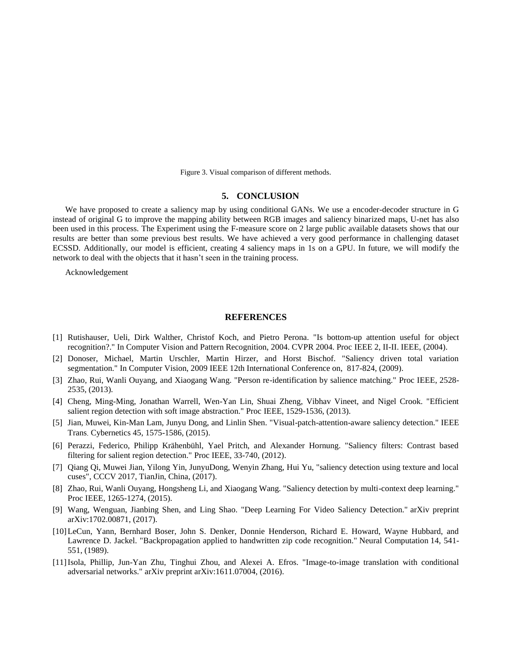Figure 3. Visual comparison of different methods.

#### **5. CONCLUSION**

We have proposed to create a saliency map by using conditional GANs. We use a encoder-decoder structure in G instead of original G to improve the mapping ability between RGB images and saliency binarized maps, U-net has also been used in this process. The Experiment using the F-measure score on 2 large public available datasets shows that our results are better than some previous best results. We have achieved a very good performance in challenging dataset ECSSD. Additionally, our model is efficient, creating 4 saliency maps in 1s on a GPU. In future, we will modify the network to deal with the objects that it hasn't seen in the training process.

Acknowledgement

# **REFERENCES**

- [1] Rutishauser, Ueli, Dirk Walther, Christof Koch, and Pietro Perona. "Is bottom-up attention useful for object recognition?." In Computer Vision and Pattern Recognition, 2004. CVPR 2004. Proc IEEE 2, II-II. IEEE, (2004).
- [2] Donoser, Michael, Martin Urschler, Martin Hirzer, and Horst Bischof. "Saliency driven total variation segmentation." In Computer Vision, 2009 IEEE 12th International Conference on, 817-824, (2009).
- [3] Zhao, Rui, Wanli Ouyang, and Xiaogang Wang. "Person re-identification by salience matching." Proc IEEE, 2528- 2535, (2013).
- [4] Cheng, Ming-Ming, Jonathan Warrell, Wen-Yan Lin, Shuai Zheng, Vibhav Vineet, and Nigel Crook. "Efficient salient region detection with soft image abstraction." Proc IEEE, 1529-1536, (2013).
- [5] Jian, Muwei, Kin-Man Lam, Junyu Dong, and Linlin Shen. "Visual-patch-attention-aware saliency detection." IEEE Trans. Cybernetics 45, 1575-1586, (2015).
- [6] Perazzi, Federico, Philipp Krähenbühl, Yael Pritch, and Alexander Hornung. "Saliency filters: Contrast based filtering for salient region detection." Proc IEEE, 33-740, (2012).
- [7] Qiang Qi, Muwei Jian, Yilong Yin, JunyuDong, Wenyin Zhang, Hui Yu, "saliency detection using texture and local cuses", CCCV 2017, TianJin, China, (2017).
- [8] Zhao, Rui, Wanli Ouyang, Hongsheng Li, and Xiaogang Wang. "Saliency detection by multi-context deep learning." Proc IEEE, 1265-1274, (2015).
- [9] Wang, Wenguan, Jianbing Shen, and Ling Shao. "Deep Learning For Video Saliency Detection." arXiv preprint arXiv:1702.00871, (2017).
- [10]LeCun, Yann, Bernhard Boser, John S. Denker, Donnie Henderson, Richard E. Howard, Wayne Hubbard, and Lawrence D. Jackel. "Backpropagation applied to handwritten zip code recognition." Neural Computation 14, 541- 551, (1989).
- [11]Isola, Phillip, Jun-Yan Zhu, Tinghui Zhou, and Alexei A. Efros. "Image-to-image translation with conditional adversarial networks." arXiv preprint arXiv:1611.07004, (2016).